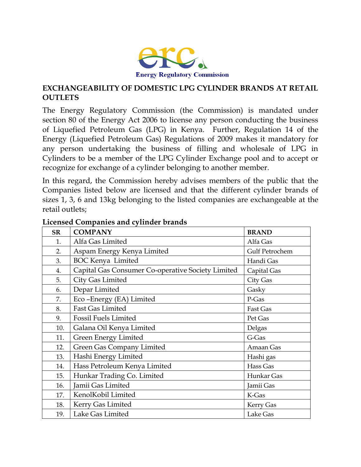

## **EXCHANGEABILITY OF DOMESTIC LPG CYLINDER BRANDS AT RETAIL OUTLETS**

The Energy Regulatory Commission (the Commission) is mandated under section 80 of the Energy Act 2006 to license any person conducting the business of Liquefied Petroleum Gas (LPG) in Kenya. Further, Regulation 14 of the Energy (Liquefied Petroleum Gas) Regulations of 2009 makes it mandatory for any person undertaking the business of filling and wholesale of LPG in Cylinders to be a member of the LPG Cylinder Exchange pool and to accept or recognize for exchange of a cylinder belonging to another member.

In this regard, the Commission hereby advises members of the public that the Companies listed below are licensed and that the different cylinder brands of sizes 1, 3, 6 and 13kg belonging to the listed companies are exchangeable at the retail outlets;

| <b>SR</b> | <b>COMPANY</b>                                    | <b>BRAND</b>   |
|-----------|---------------------------------------------------|----------------|
| 1.        | Alfa Gas Limited                                  | Alfa Gas       |
| 2.        | Aspam Energy Kenya Limited                        | Gulf Petrochem |
| 3.        | <b>BOC</b> Kenya Limited                          | Handi Gas      |
| 4.        | Capital Gas Consumer Co-operative Society Limited | Capital Gas    |
| 5.        | City Gas Limited                                  | City Gas       |
| 6.        | Depar Limited                                     | Gasky          |
| 7.        | Eco-Energy (EA) Limited                           | P-Gas          |
| 8.        | <b>Fast Gas Limited</b>                           | Fast Gas       |
| 9.        | <b>Fossil Fuels Limited</b>                       | Pet Gas        |
| 10.       | Galana Oil Kenya Limited                          | Delgas         |
| 11.       | Green Energy Limited                              | G-Gas          |
| 12.       | Green Gas Company Limited                         | Amaan Gas      |
| 13.       | Hashi Energy Limited                              | Hashi gas      |
| 14.       | Hass Petroleum Kenya Limited                      | Hass Gas       |
| 15.       | Hunkar Trading Co. Limited                        | Hunkar Gas     |
| 16.       | Jamii Gas Limited                                 | Jamii Gas      |
| 17.       | KenolKobil Limited                                | K-Gas          |
| 18.       | Kerry Gas Limited                                 | Kerry Gas      |
| 19.       | Lake Gas Limited                                  | Lake Gas       |

## **Licensed Companies and cylinder brands**